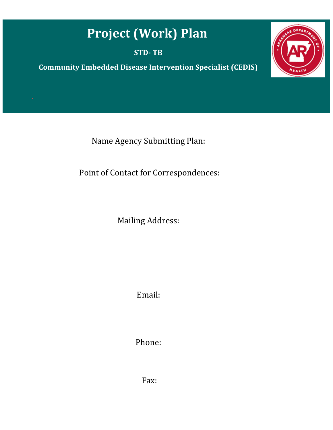## **Project (Work) Plan**

**STD- TB** 

**Community Embedded Disease Intervention Specialist (CEDIS)**



Name Agency Submitting Plan:

Point of Contact for Correspondences:

Mailing Address:

Email:

Phone:

Fax: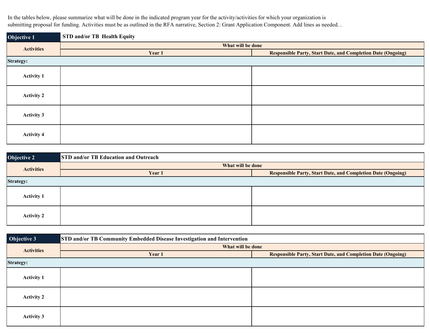In the tables below, please summarize what will be done in the indicated program year for the activity/activities for which your organization is submitting proposal for funding. Activities must be as outlined in the RFA narrative, Section 2: Grant Application Component. Add lines as needed. .

**Objective 1Year 1 Responsible Party, Start Date, and Completion Date (Ongoing) Activity 1 Activity 2 Activity 3 Activity 4 STD and/or TB Health EquityActivities What will be done Strategy:**

| Objective 2       | <b>STD and/or TB Education and Outreach</b> |                                                                     |  |  |
|-------------------|---------------------------------------------|---------------------------------------------------------------------|--|--|
| <b>Activities</b> | What will be done                           |                                                                     |  |  |
|                   | Year 1                                      | <b>Responsible Party, Start Date, and Completion Date (Ongoing)</b> |  |  |
| <b>Strategy:</b>  |                                             |                                                                     |  |  |
| <b>Activity 1</b> |                                             |                                                                     |  |  |
| <b>Activity 2</b> |                                             |                                                                     |  |  |

| Objective 3       | STD and/or TB Community Embedded Disease Investigation and Intervention |                                                                     |  |  |
|-------------------|-------------------------------------------------------------------------|---------------------------------------------------------------------|--|--|
| <b>Activities</b> | What will be done                                                       |                                                                     |  |  |
|                   | Year 1                                                                  | <b>Responsible Party, Start Date, and Completion Date (Ongoing)</b> |  |  |
| Strategy:         |                                                                         |                                                                     |  |  |
| <b>Activity 1</b> |                                                                         |                                                                     |  |  |
| <b>Activity 2</b> |                                                                         |                                                                     |  |  |
| <b>Activity 3</b> |                                                                         |                                                                     |  |  |